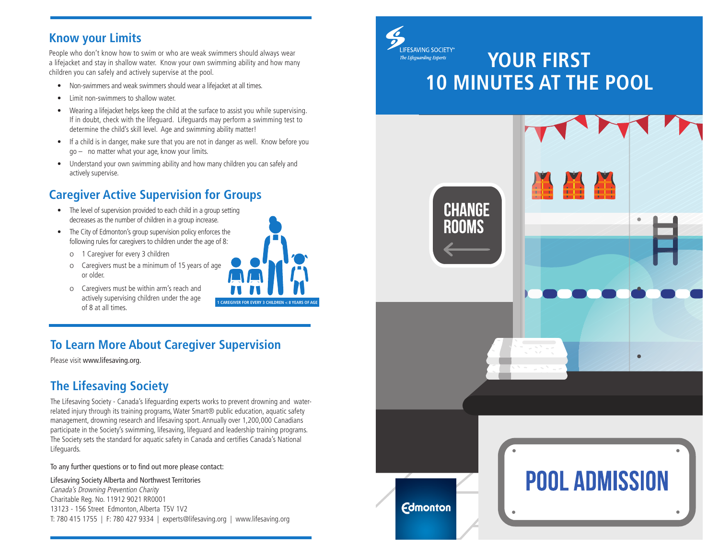#### **Know your Limits**

People who don't know how to swim or who are weak swimmers should always wear a lifejacket and stay in shallow water. Know your own swimming ability and how many children you can safely and actively supervise at the pool.

- Non-swimmers and weak swimmers should wear a lifejacket at all times.
- Limit non-swimmers to shallow water.
- Wearing a lifejacket helps keep the child at the surface to assist you while supervising. If in doubt, check with the lifeguard. Lifeguards may perform a swimming test to determine the child's skill level. Age and swimming ability matter!
- If a child is in danger, make sure that you are not in danger as well. Know before you go – no matter what your age, know your limits.
- Understand your own swimming ability and how many children you can safely and actively supervise.

# **Caregiver Active Supervision for Groups**

- The level of supervision provided to each child in a group setting decreases as the number of children in a group increase.
- The City of Edmonton's group supervision policy enforces the following rules for caregivers to children under the age of 8:
	- κ 1 Caregiver for every 3 children
	- o Caregivers must be a minimum of 15 years of age or older.
	- o Caregivers must be within arm's reach and actively supervising children under the age of 8 at all times. **1 CAREGIVER FOR EVERY 3 CHILDREN < 8 YEARS OF AGE**



### **To Learn More About Caregiver Supervision**

Please visit www.lifesaving.org.

#### **The Lifesaving Society**

The Lifesaving Society - Canada's lifeguarding experts works to prevent drowning and waterrelated injury through its training programs, Water Smart® public education, aquatic safety management, drowning research and lifesaving sport. Annually over 1,200,000 Canadians participate in the Society's swimming, lifesaving, lifeguard and leadership training programs. The Society sets the standard for aquatic safety in Canada and certifies Canada's National Lifeguards.

To any further questions or to find out more please contact:

#### Lifesaving Society Alberta and Northwest Territories

Canada's Drowning Prevention Charity Charitable Reg. No. 11912 9021 RR0001 13123 - 156 Street Edmonton, Alberta T5V 1V2 T: 780 415 1755 | F: 780 427 9334 | experts@lifesaving.org | www.lifesaving.org



# **YOUR FIRST 10 MINUTES AT THE POOL**